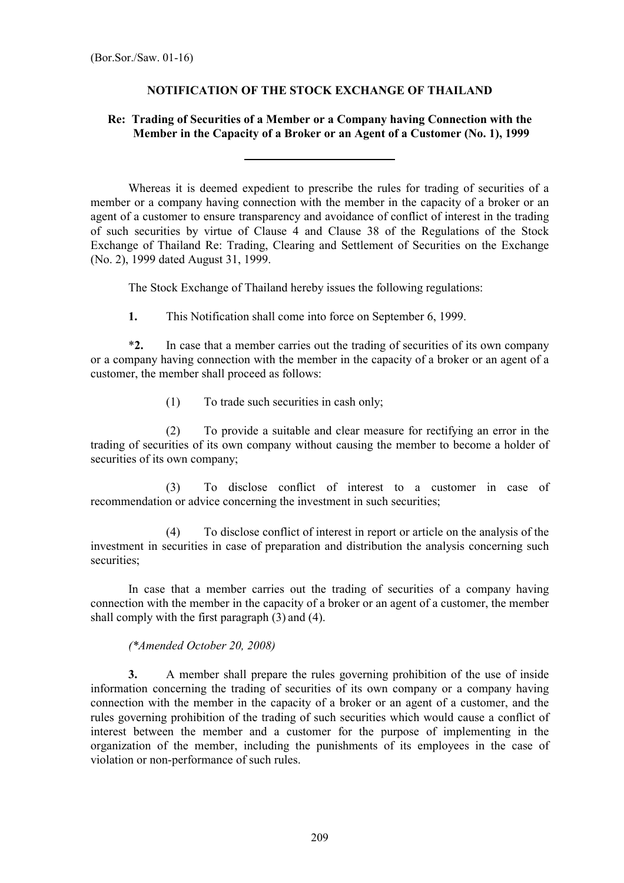## NOTIFICATION OF THE STOCK EXCHANGE OF THAILAND

## Re: Trading of Securities of a Member or a Company having Connection with the Member in the Capacity of a Broker or an Agent of a Customer (No. 1), 1999

 Whereas it is deemed expedient to prescribe the rules for trading of securities of a member or a company having connection with the member in the capacity of a broker or an agent of a customer to ensure transparency and avoidance of conflict of interest in the trading of such securities by virtue of Clause 4 and Clause 38 of the Regulations of the Stock Exchange of Thailand Re: Trading, Clearing and Settlement of Securities on the Exchange (No. 2), 1999 dated August 31, 1999.

The Stock Exchange of Thailand hereby issues the following regulations:

1. This Notification shall come into force on September 6, 1999.

 \*2. In case that a member carries out the trading of securities of its own company or a company having connection with the member in the capacity of a broker or an agent of a customer, the member shall proceed as follows:

(1) To trade such securities in cash only;

l

 (2) To provide a suitable and clear measure for rectifying an error in the trading of securities of its own company without causing the member to become a holder of securities of its own company;

 (3) To disclose conflict of interest to a customer in case of recommendation or advice concerning the investment in such securities;

 (4) To disclose conflict of interest in report or article on the analysis of the investment in securities in case of preparation and distribution the analysis concerning such securities;

 In case that a member carries out the trading of securities of a company having connection with the member in the capacity of a broker or an agent of a customer, the member shall comply with the first paragraph (3) and (4).

## (\*Amended October 20, 2008)

 3. A member shall prepare the rules governing prohibition of the use of inside information concerning the trading of securities of its own company or a company having connection with the member in the capacity of a broker or an agent of a customer, and the rules governing prohibition of the trading of such securities which would cause a conflict of interest between the member and a customer for the purpose of implementing in the organization of the member, including the punishments of its employees in the case of violation or non-performance of such rules.